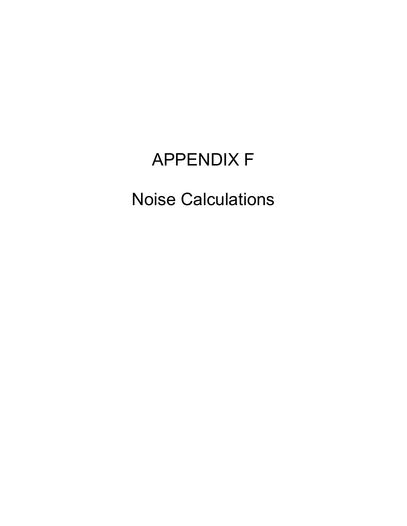## APPENDIX F

## Noise Calculations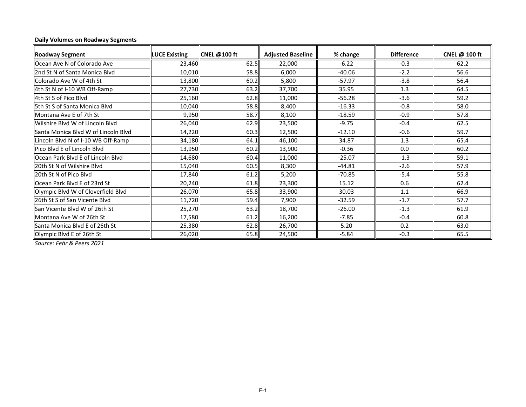## **Daily Volumes on Roadway Segments**

| <b>Roadway Segment</b>              | <b>LUCE Existing</b> | <b>CNEL @100 ft</b> | <b>Adjusted Baseline</b> | % change | <b>Difference</b> | CNEL @ 100 ft |
|-------------------------------------|----------------------|---------------------|--------------------------|----------|-------------------|---------------|
| Ocean Ave N of Colorado Ave         | 23,460               | 62.5                | 22,000                   | $-6.22$  | $-0.3$            | 62.2          |
| 2nd St N of Santa Monica Blvd       | 10,010               | 58.8                | 6,000                    | $-40.06$ | $-2.2$            | 56.6          |
| Colorado Ave W of 4th St            | 13,800               | 60.2                | 5,800                    | $-57.97$ | $-3.8$            | 56.4          |
| 4th St N of I-10 WB Off-Ramp        | 27,730               | 63.2                | 37,700                   | 35.95    | 1.3               | 64.5          |
| 4th St S of Pico Blvd               | 25,160               | 62.8                | 11,000                   | $-56.28$ | $-3.6$            | 59.2          |
| 5th St S of Santa Monica Blvd       | 10,040               | 58.8                | 8,400                    | $-16.33$ | $-0.8$            | 58.0          |
| Montana Ave E of 7th St             | 9,950                | 58.7                | 8,100                    | $-18.59$ | $-0.9$            | 57.8          |
| Wilshire Blvd W of Lincoln Blvd     | 26,040               | 62.9                | 23,500                   | $-9.75$  | $-0.4$            | 62.5          |
| Santa Monica Blvd W of Lincoln Blvd | 14,220               | 60.3                | 12,500                   | $-12.10$ | $-0.6$            | 59.7          |
| Lincoln Blvd N of I-10 WB Off-Ramp  | 34,180               | 64.1                | 46,100                   | 34.87    | 1.3               | 65.4          |
| Pico Blvd E of Lincoln Blvd         | 13,950               | 60.2                | 13,900                   | $-0.36$  | 0.0               | 60.2          |
| Ocean Park Blvd E of Lincoln Blvd   | 14,680               | 60.4                | 11,000                   | $-25.07$ | $-1.3$            | 59.1          |
| 20th St N of Wilshire Blvd          | 15,040               | 60.5                | 8,300                    | $-44.81$ | $-2.6$            | 57.9          |
| 20th St N of Pico Blvd              | 17,840               | 61.2                | 5,200                    | $-70.85$ | $-5.4$            | 55.8          |
| Ocean Park Blvd E of 23rd St        | 20,240               | 61.8                | 23,300                   | 15.12    | 0.6               | 62.4          |
| Olympic Blvd W of Cloverfield Blvd  | 26,070               | 65.8                | 33,900                   | 30.03    | 1.1               | 66.9          |
| 26th St S of San Vicente Blvd       | 11,720               | 59.4                | 7,900                    | $-32.59$ | $-1.7$            | 57.7          |
| San Vicente Blvd W of 26th St       | 25,270               | 63.2                | 18,700                   | $-26.00$ | $-1.3$            | 61.9          |
| Montana Ave W of 26th St            | 17,580               | 61.2                | 16,200                   | $-7.85$  | $-0.4$            | 60.8          |
| Santa Monica Blyd E of 26th St      | 25,380               | 62.8                | 26,700                   | 5.20     | 0.2               | 63.0          |
| Olympic Blvd E of 26th St           | 26,020               | 65.8                | 24,500                   | $-5.84$  | $-0.3$            | 65.5          |

*Source: Fehr & Peers 2021*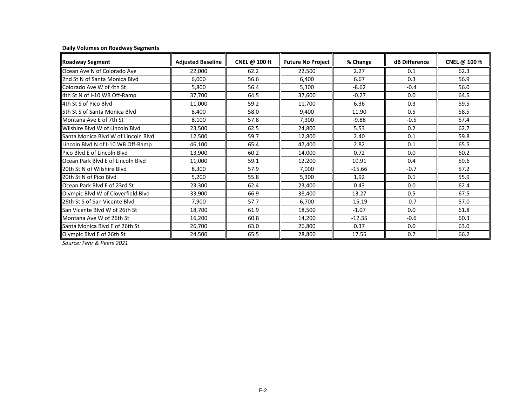|  |  | <b>Daily Volumes on Roadway Segments</b> |
|--|--|------------------------------------------|
|  |  |                                          |

| <b>Roadway Segment</b>              | <b>Adjusted Baseline</b> | CNEL @ 100 ft | <b>Future No Project</b> | % Change | dB Difference | CNEL @ 100 ft |
|-------------------------------------|--------------------------|---------------|--------------------------|----------|---------------|---------------|
| Ocean Ave N of Colorado Ave         | 22,000                   | 62.2          | 22,500                   | 2.27     | 0.1           | 62.3          |
| 2nd St N of Santa Monica Blyd       | 6,000                    | 56.6          | 6,400                    | 6.67     | 0.3           | 56.9          |
| Colorado Ave W of 4th St            | 5,800                    | 56.4          | 5,300                    | $-8.62$  | $-0.4$        | 56.0          |
| 4th St N of I-10 WB Off-Ramp        | 37,700                   | 64.5          | 37,600                   | $-0.27$  | 0.0           | 64.5          |
| 4th St S of Pico Blyd               | 11,000                   | 59.2          | 11,700                   | 6.36     | 0.3           | 59.5          |
| 5th St S of Santa Monica Blvd       | 8,400                    | 58.0          | 9,400                    | 11.90    | 0.5           | 58.5          |
| Montana Ave E of 7th St             | 8,100                    | 57.8          | 7,300                    | $-9.88$  | $-0.5$        | 57.4          |
| Wilshire Blyd W of Lincoln Blyd     | 23,500                   | 62.5          | 24,800                   | 5.53     | 0.2           | 62.7          |
| Santa Monica Blyd W of Lincoln Blyd | 12,500                   | 59.7          | 12,800                   | 2.40     | 0.1           | 59.8          |
| Lincoln Blvd N of I-10 WB Off-Ramp  | 46,100                   | 65.4          | 47,400                   | 2.82     | 0.1           | 65.5          |
| Pico Blyd E of Lincoln Blyd         | 13,900                   | 60.2          | 14,000                   | 0.72     | 0.0           | 60.2          |
| Ocean Park Blyd E of Lincoln Blyd   | 11,000                   | 59.1          | 12,200                   | 10.91    | 0.4           | 59.6          |
| 20th St N of Wilshire Blyd          | 8,300                    | 57.9          | 7,000                    | $-15.66$ | $-0.7$        | 57.2          |
| 20th St N of Pico Blvd              | 5,200                    | 55.8          | 5,300                    | 1.92     | 0.1           | 55.9          |
| Ocean Park Blvd E of 23rd St        | 23,300                   | 62.4          | 23,400                   | 0.43     | 0.0           | 62.4          |
| Olympic Blvd W of Cloverfield Blvd  | 33,900                   | 66.9          | 38,400                   | 13.27    | 0.5           | 67.5          |
| 26th St S of San Vicente Blvd       | 7,900                    | 57.7          | 6,700                    | $-15.19$ | $-0.7$        | 57.0          |
| San Vicente Blyd W of 26th St       | 18,700                   | 61.9          | 18,500                   | $-1.07$  | 0.0           | 61.8          |
| Montana Ave W of 26th St            | 16,200                   | 60.8          | 14,200                   | $-12.35$ | $-0.6$        | 60.3          |
| Santa Monica Blvd E of 26th St      | 26,700                   | 63.0          | 26,800                   | 0.37     | 0.0           | 63.0          |
| Olympic Blvd E of 26th St           | 24,500                   | 65.5          | 28,800                   | 17.55    | 0.7           | 66.2          |

*Source: Fehr & Peers 2021*